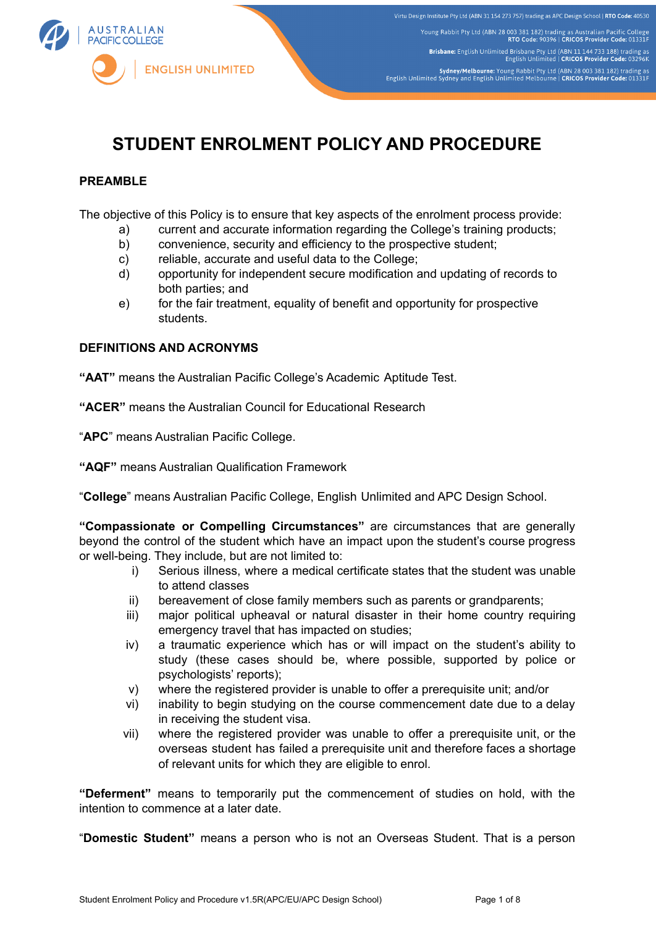

# **STUDENT ENROLMENT POLICY AND PROCEDURE**

## **PREAMBLE**

The objective of this Policy is to ensure that key aspects of the enrolment process provide:

- a) current and accurate information regarding the College's training products;
- b) convenience, security and efficiency to the prospective student;
- c) reliable, accurate and useful data to the College;
- d) opportunity for independent secure modification and updating of records to both parties; and
- e) for the fair treatment, equality of benefit and opportunity for prospective students.

#### **DEFINITIONS AND ACRONYMS**

**"AAT"** means the Australian Pacific College's Academic Aptitude Test.

**"ACER"** means the Australian Council for Educational Research

"**APC**" means Australian Pacific College.

**"AQF"** means Australian Qualification Framework

"**College**" means Australian Pacific College, English Unlimited and APC Design School.

**"Compassionate or Compelling Circumstances"** are circumstances that are generally beyond the control of the student which have an impact upon the student's course progress or well-being. They include, but are not limited to:

- i) Serious illness, where a medical certificate states that the student was unable to attend classes
- ii) bereavement of close family members such as parents or grandparents;
- iii) major political upheaval or natural disaster in their home country requiring emergency travel that has impacted on studies;
- iv) a traumatic experience which has or will impact on the student's ability to study (these cases should be, where possible, supported by police or psychologists' reports);
- v) where the registered provider is unable to offer a prerequisite unit; and/or
- vi) inability to begin studying on the course commencement date due to a delay in receiving the student visa.
- vii) where the registered provider was unable to offer a prerequisite unit, or the overseas student has failed a prerequisite unit and therefore faces a shortage of relevant units for which they are eligible to enrol.

**"Deferment"** means to temporarily put the commencement of studies on hold, with the intention to commence at a later date.

"**Domestic Student"** means a person who is not an Overseas Student. That is a person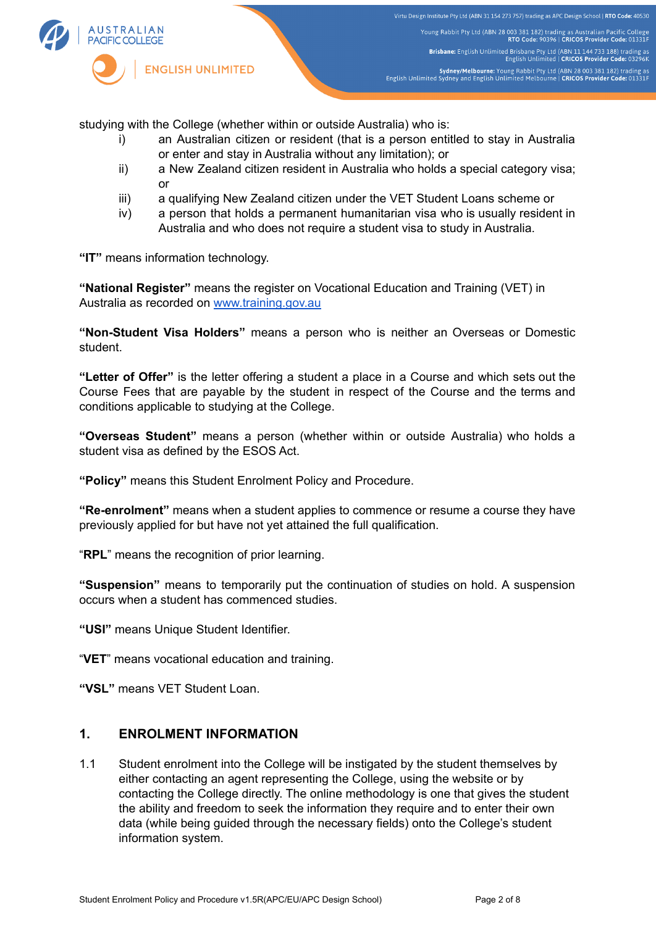

studying with the College (whether within or outside Australia) who is:

- i) an Australian citizen or resident (that is a person entitled to stay in Australia or enter and stay in Australia without any limitation); or
- ii) a New Zealand citizen resident in Australia who holds a special category visa; or
- iii) a qualifying New Zealand citizen under the VET Student Loans scheme or
- iv) a person that holds a permanent humanitarian visa who is usually resident in Australia and who does not require a student visa to study in Australia.

**"IT"** means information technology.

**"National Register"** means the register on Vocational Education and Training (VET) in Australia as recorded on [www.training.gov.au](http://www.training.gov.au)

**"Non-Student Visa Holders"** means a person who is neither an Overseas or Domestic student.

**"Letter of Offer"** is the letter offering a student a place in a Course and which sets out the Course Fees that are payable by the student in respect of the Course and the terms and conditions applicable to studying at the College.

**"Overseas Student"** means a person (whether within or outside Australia) who holds a student visa as defined by the ESOS Act.

**"Policy"** means this Student Enrolment Policy and Procedure.

**"Re-enrolment"** means when a student applies to commence or resume a course they have previously applied for but have not yet attained the full qualification.

"**RPL**" means the recognition of prior learning.

**"Suspension"** means to temporarily put the continuation of studies on hold. A suspension occurs when a student has commenced studies.

**"USI"** means Unique Student Identifier.

"**VET**" means vocational education and training.

**"VSL"** means VET Student Loan.

## **1. ENROLMENT INFORMATION**

1.1 Student enrolment into the College will be instigated by the student themselves by either contacting an agent representing the College, using the website or by contacting the College directly. The online methodology is one that gives the student the ability and freedom to seek the information they require and to enter their own data (while being guided through the necessary fields) onto the College's student information system.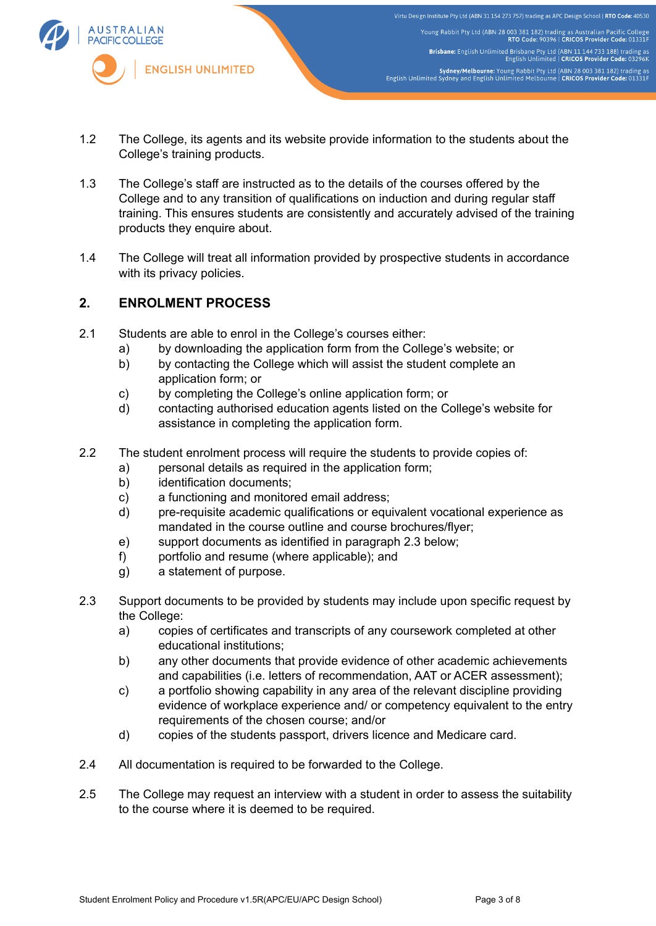

- 1.2 The College, its agents and its website provide information to the students about the College's training products.
- 1.3 The College's staff are instructed as to the details of the courses offered by the College and to any transition of qualifications on induction and during regular staff training. This ensures students are consistently and accurately advised of the training products they enquire about.
- 1.4 The College will treat all information provided by prospective students in accordance with its privacy policies.

# **2. ENROLMENT PROCESS**

- 2.1 Students are able to enrol in the College's courses either:
	- a) by downloading the application form from the College's website; or
	- b) by contacting the College which will assist the student complete an application form; or
	- c) by completing the College's online application form; or
	- d) contacting authorised education agents listed on the College's website for assistance in completing the application form.
- 2.2 The student enrolment process will require the students to provide copies of:
	- a) personal details as required in the application form;
	- b) identification documents;
	- c) a functioning and monitored email address;
	- d) pre-requisite academic qualifications or equivalent vocational experience as mandated in the course outline and course brochures/flyer;
	- e) support documents as identified in paragraph 2.3 below;
	- f) portfolio and resume (where applicable); and
	- g) a statement of purpose.
- 2.3 Support documents to be provided by students may include upon specific request by the College:
	- a) copies of certificates and transcripts of any coursework completed at other educational institutions;
	- b) any other documents that provide evidence of other academic achievements and capabilities (i.e. letters of recommendation, AAT or ACER assessment);
	- c) a portfolio showing capability in any area of the relevant discipline providing evidence of workplace experience and/ or competency equivalent to the entry requirements of the chosen course; and/or
	- d) copies of the students passport, drivers licence and Medicare card.
- 2.4 All documentation is required to be forwarded to the College.
- 2.5 The College may request an interview with a student in order to assess the suitability to the course where it is deemed to be required.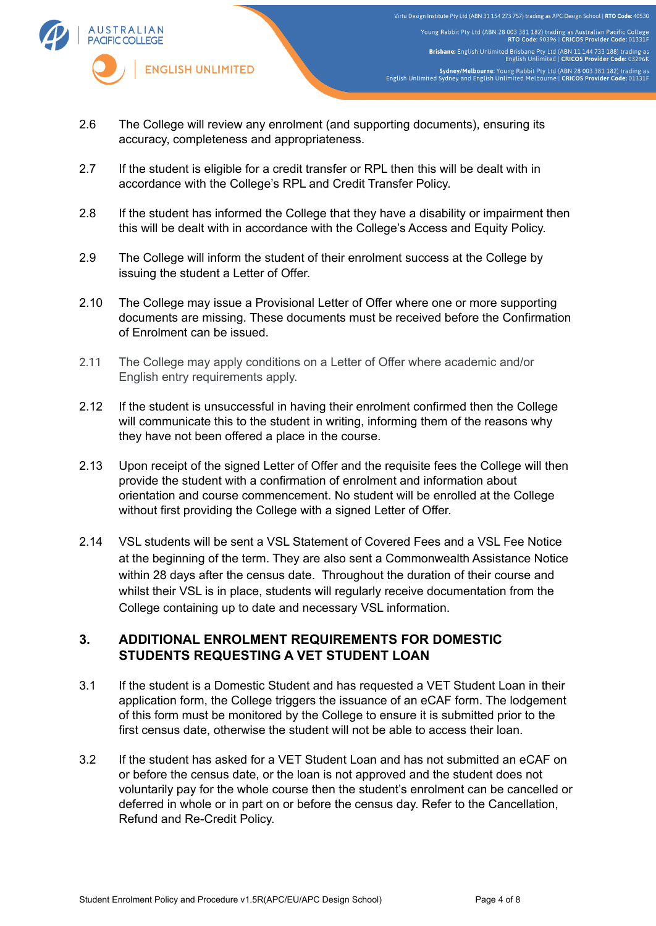

Virtu Design Institute Pty Ltd (ABN 31 154 273 757) trading as APC Design School | RTO Code: 40530 Young Rabbit Pty Ltd (ABN 28 003 381 182) trading as Australian Pacific College<br>RTO Code: 90396 | CRICOS Provider Code: 01331F Brisbane: English Unlimited Brisbane Pty Ltd (ABN 11 144 733 188) trading as<br>English Unlimited | CRICOS Provider Code: 03296K Sydney/Melbourne: Young Rabbit Pty Ltd (ABN 28 003 381 182) trading as<br>English Unlimited Sydney and English Unlimited Melbourne | CRICOS Provider Code: 01331F

- 2.6 The College will review any enrolment (and supporting documents), ensuring its accuracy, completeness and appropriateness.
- 2.7 If the student is eligible for a credit transfer or RPL then this will be dealt with in accordance with the College's RPL and Credit Transfer Policy.
- 2.8 If the student has informed the College that they have a disability or impairment then this will be dealt with in accordance with the College's Access and Equity Policy.
- 2.9 The College will inform the student of their enrolment success at the College by issuing the student a Letter of Offer.
- 2.10 The College may issue a Provisional Letter of Offer where one or more supporting documents are missing. These documents must be received before the Confirmation of Enrolment can be issued.
- 2.11 The College may apply conditions on a Letter of Offer where academic and/or English entry requirements apply.
- 2.12 If the student is unsuccessful in having their enrolment confirmed then the College will communicate this to the student in writing, informing them of the reasons why they have not been offered a place in the course.
- 2.13 Upon receipt of the signed Letter of Offer and the requisite fees the College will then provide the student with a confirmation of enrolment and information about orientation and course commencement. No student will be enrolled at the College without first providing the College with a signed Letter of Offer.
- 2.14 VSL students will be sent a VSL Statement of Covered Fees and a VSL Fee Notice at the beginning of the term. They are also sent a Commonwealth Assistance Notice within 28 days after the census date. Throughout the duration of their course and whilst their VSL is in place, students will regularly receive documentation from the College containing up to date and necessary VSL information.

## **3. ADDITIONAL ENROLMENT REQUIREMENTS FOR DOMESTIC STUDENTS REQUESTING A VET STUDENT LOAN**

- 3.1 If the student is a Domestic Student and has requested a VET Student Loan in their application form, the College triggers the issuance of an eCAF form. The lodgement of this form must be monitored by the College to ensure it is submitted prior to the first census date, otherwise the student will not be able to access their loan.
- 3.2 If the student has asked for a VET Student Loan and has not submitted an eCAF on or before the census date, or the loan is not approved and the student does not voluntarily pay for the whole course then the student's enrolment can be cancelled or deferred in whole or in part on or before the census day. Refer to the Cancellation, Refund and Re-Credit Policy.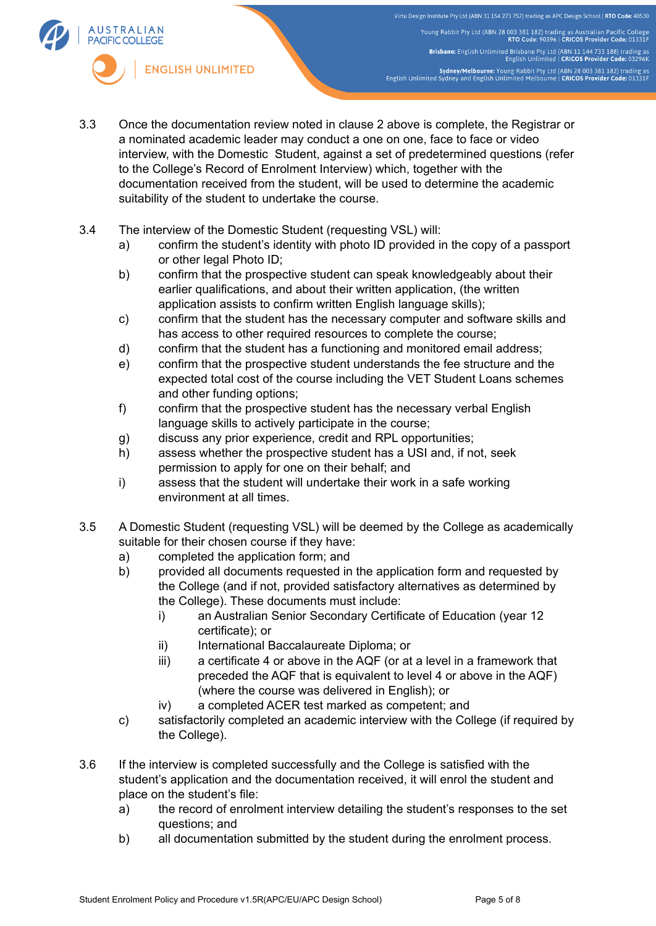Virtu Design Institute Pty Ltd (ABN 31 154 273 757) trading as APC Design School | RTO Code: 40530 Young Rabbit Pty Ltd (ABN 28 003 381 182) trading as Australian Pacific College<br>RTO Code: 90396 | CRICOS Provider Code: 01331F Brisbane: English Unlimited Brisbane Pty Ltd (ABN 11 144 733 188) trading as<br>English Unlimited | CRICOS Provider Code: 03296K Sydney/Melbourne: Young Rabbit Pty Ltd (ABN 28 003 381 182) trading as<br>English Unlimited Sydney and English Unlimited Melbourne | CRICOS Provider Code: 01331F



- 3.3 Once the documentation review noted in clause 2 above is complete, the Registrar or a nominated academic leader may conduct a one on one, face to face or video interview, with the Domestic Student, against a set of predetermined questions (refer to the College's Record of Enrolment Interview) which, together with the documentation received from the student, will be used to determine the academic suitability of the student to undertake the course.
- 3.4 The interview of the Domestic Student (requesting VSL) will:
	- a) confirm the student's identity with photo ID provided in the copy of a passport or other legal Photo ID;
	- b) confirm that the prospective student can speak knowledgeably about their earlier qualifications, and about their written application, (the written application assists to confirm written English language skills);
	- c) confirm that the student has the necessary computer and software skills and has access to other required resources to complete the course;
	- d) confirm that the student has a functioning and monitored email address;
	- e) confirm that the prospective student understands the fee structure and the expected total cost of the course including the VET Student Loans schemes and other funding options;
	- f) confirm that the prospective student has the necessary verbal English language skills to actively participate in the course;
	- g) discuss any prior experience, credit and RPL opportunities;
	- h) assess whether the prospective student has a USI and, if not, seek permission to apply for one on their behalf; and
	- i) assess that the student will undertake their work in a safe working environment at all times.
- 3.5 A Domestic Student (requesting VSL) will be deemed by the College as academically suitable for their chosen course if they have:
	- a) completed the application form; and
	- b) provided all documents requested in the application form and requested by the College (and if not, provided satisfactory alternatives as determined by the College). These documents must include:
		- i) an Australian Senior Secondary Certificate of Education (year 12 certificate); or
		- ii) International Baccalaureate Diploma; or
		- iii) a certificate 4 or above in the AQF (or at a level in a framework that preceded the AQF that is equivalent to level 4 or above in the AQF) (where the course was delivered in English); or
		- iv) a completed ACER test marked as competent; and
	- c) satisfactorily completed an academic interview with the College (if required by the College).
- 3.6 If the interview is completed successfully and the College is satisfied with the student's application and the documentation received, it will enrol the student and place on the student's file:
	- a) the record of enrolment interview detailing the student's responses to the set questions; and
	- b) all documentation submitted by the student during the enrolment process.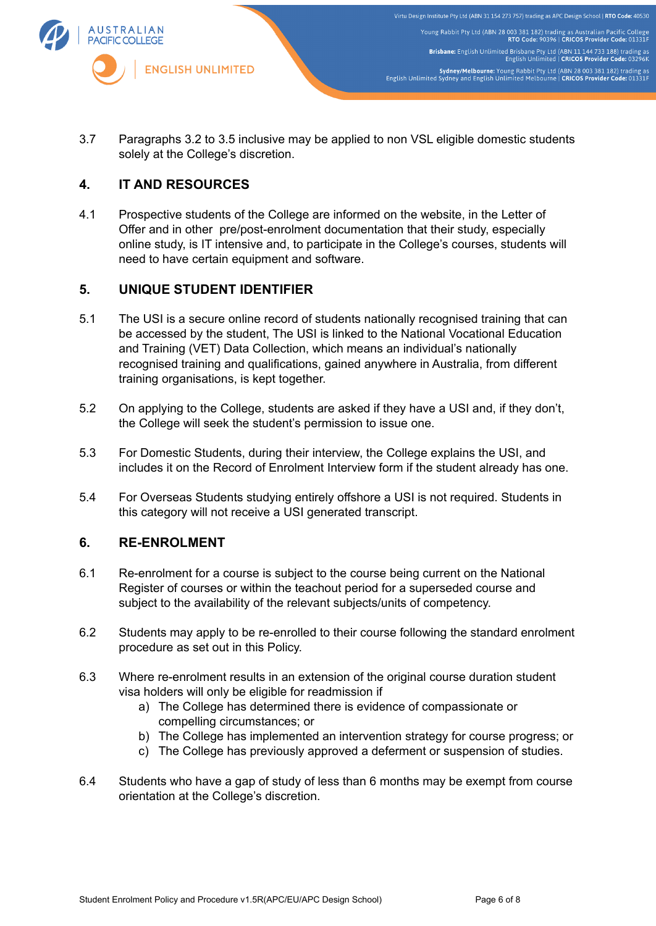

3.7 Paragraphs 3.2 to 3.5 inclusive may be applied to non VSL eligible domestic students solely at the College's discretion.

# **4. IT AND RESOURCES**

4.1 Prospective students of the College are informed on the website, in the Letter of Offer and in other pre/post-enrolment documentation that their study, especially online study, is IT intensive and, to participate in the College's courses, students will need to have certain equipment and software.

## **5. UNIQUE STUDENT IDENTIFIER**

- 5.1 The USI is a secure online record of students nationally recognised training that can be accessed by the student, The USI is linked to the National Vocational Education and Training (VET) Data Collection, which means an individual's nationally recognised training and qualifications, gained anywhere in Australia, from different training organisations, is kept together.
- 5.2 On applying to the College, students are asked if they have a USI and, if they don't, the College will seek the student's permission to issue one.
- 5.3 For Domestic Students, during their interview, the College explains the USI, and includes it on the Record of Enrolment Interview form if the student already has one.
- 5.4 For Overseas Students studying entirely offshore a USI is not required. Students in this category will not receive a USI generated transcript.

### **6. RE-ENROLMENT**

- 6.1 Re-enrolment for a course is subject to the course being current on the National Register of courses or within the teachout period for a superseded course and subject to the availability of the relevant subjects/units of competency.
- 6.2 Students may apply to be re-enrolled to their course following the standard enrolment procedure as set out in this Policy.
- 6.3 Where re-enrolment results in an extension of the original course duration student visa holders will only be eligible for readmission if
	- a) The College has determined there is evidence of compassionate or compelling circumstances; or
	- b) The College has implemented an intervention strategy for course progress; or
	- c) The College has previously approved a deferment or suspension of studies.
- 6.4 Students who have a gap of study of less than 6 months may be exempt from course orientation at the College's discretion.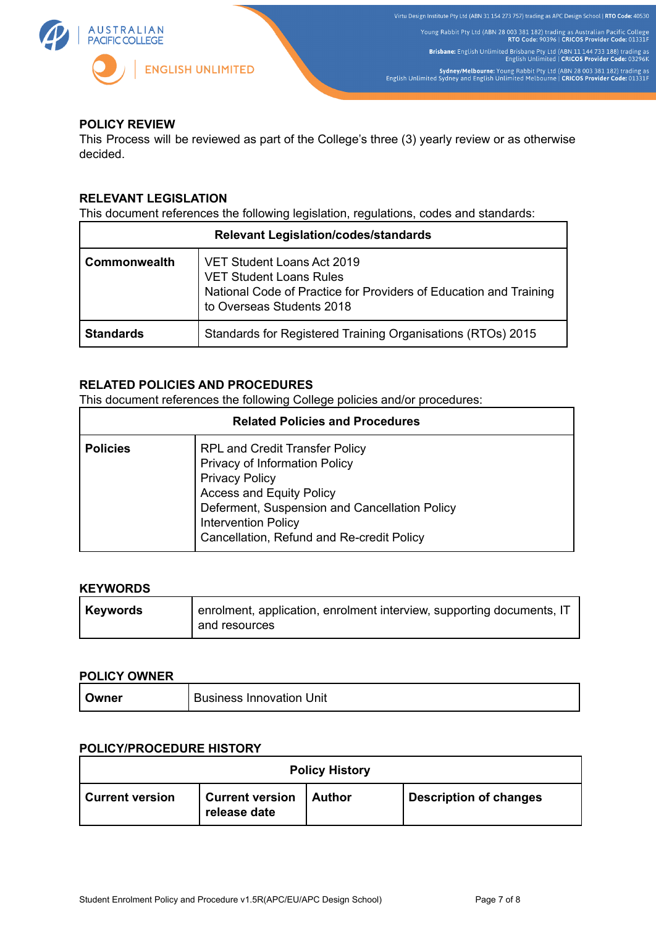

## **POLICY REVIEW**

This Process will be reviewed as part of the College's three (3) yearly review or as otherwise decided.

## **RELEVANT LEGISLATION**

This document references the following legislation, regulations, codes and standards:

| <b>Relevant Legislation/codes/standards</b> |                                                                                                                                                                |  |  |
|---------------------------------------------|----------------------------------------------------------------------------------------------------------------------------------------------------------------|--|--|
| <b>Commonwealth</b>                         | VET Student Loans Act 2019<br><b>VET Student Loans Rules</b><br>National Code of Practice for Providers of Education and Training<br>to Overseas Students 2018 |  |  |
| <b>Standards</b>                            | Standards for Registered Training Organisations (RTOs) 2015                                                                                                    |  |  |

## **RELATED POLICIES AND PROCEDURES**

This document references the following College policies and/or procedures:

| <b>Related Policies and Procedures</b> |                                                                                                                                                                                                                                                                |  |  |
|----------------------------------------|----------------------------------------------------------------------------------------------------------------------------------------------------------------------------------------------------------------------------------------------------------------|--|--|
| <b>Policies</b>                        | <b>RPL and Credit Transfer Policy</b><br>Privacy of Information Policy<br><b>Privacy Policy</b><br><b>Access and Equity Policy</b><br>Deferment, Suspension and Cancellation Policy<br><b>Intervention Policy</b><br>Cancellation, Refund and Re-credit Policy |  |  |

#### **KEYWORDS**

| Keywords | enrolment, application, enrolment interview, supporting documents, IT |
|----------|-----------------------------------------------------------------------|
|          | and resources                                                         |

#### **POLICY OWNER**

| Jwner | <b>Business Innovation Unit</b> |
|-------|---------------------------------|
|-------|---------------------------------|

#### **POLICY/PROCEDURE HISTORY**

| <b>Policy History</b>  |                                        |          |                               |  |  |  |
|------------------------|----------------------------------------|----------|-------------------------------|--|--|--|
| <b>Current version</b> | <b>Current version</b><br>release date | ∣ Author | <b>Description of changes</b> |  |  |  |